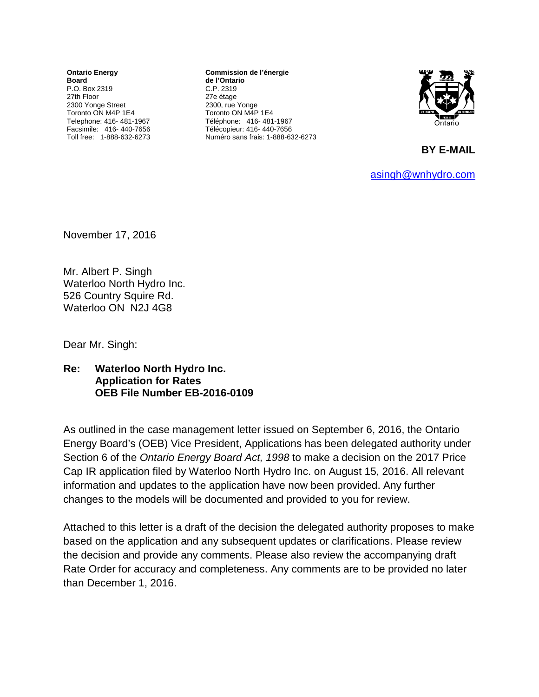**Ontario Energy Board** P.O. Box 2319 27th Floor 2300 Yonge Street Toronto ON M4P 1E4 Telephone: 416- 481-1967 Facsimile: 416- 440-7656 Toll free: 1-888-632-6273

**Commission de l'énergie de l'Ontario** C.P. 2319 27e étage 2300, rue Yonge Toronto ON M4P 1E4 Téléphone: 416- 481-1967 Télécopieur: 416- 440-7656 Numéro sans frais: 1-888-632-6273



**BY E-MAIL** 

[asingh@wnhydro.com](mailto:asingh@wnhydro.com)

November 17, 2016

Mr. Albert P. Singh Waterloo North Hydro Inc. 526 Country Squire Rd. Waterloo ON N2J 4G8

Dear Mr. Singh:

## **Re: Waterloo North Hydro Inc. Application for Rates OEB File Number EB-2016-0109**

As outlined in the case management letter issued on September 6, 2016, the Ontario Energy Board's (OEB) Vice President, Applications has been delegated authority under Section 6 of the *Ontario Energy Board Act, 1998* to make a decision on the 2017 Price Cap IR application filed by Waterloo North Hydro Inc. on August 15, 2016. All relevant information and updates to the application have now been provided. Any further changes to the models will be documented and provided to you for review.

Attached to this letter is a draft of the decision the delegated authority proposes to make based on the application and any subsequent updates or clarifications. Please review the decision and provide any comments. Please also review the accompanying draft Rate Order for accuracy and completeness. Any comments are to be provided no later than December 1, 2016.